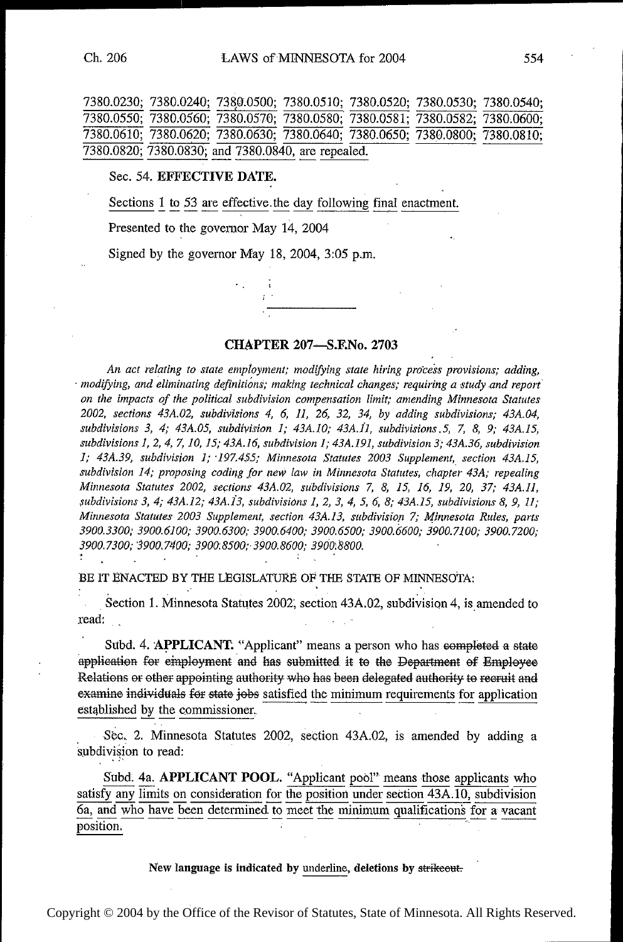|                                                    |  |  |  |  |  | 7380.0230; 7380.0240; 7380.0500; 7380.0510; 7380.0520; 7380.0530; 7380.0540; |
|----------------------------------------------------|--|--|--|--|--|------------------------------------------------------------------------------|
|                                                    |  |  |  |  |  | 7380.0550; 7380.0560; 7380.0570; 7380.0580; 7380.0581; 7380.0582; 7380.0600; |
|                                                    |  |  |  |  |  | 7380.0610; 7380.0620; 7380.0630; 7380.0640; 7380.0650; 7380.0800; 7380.0810; |
| 7380.0820; 7380.0830; and 7380.0840, are repealed. |  |  |  |  |  |                                                                              |
|                                                    |  |  |  |  |  |                                                                              |

Sec. 54. EFFECTIVE DATE.<br>Sections 1 to 53 are effective the day following final enactment.

Presented to the governor May 14, 2004

Signed by the governor May 18, 2004, 3:05 pm.

 $\tau$ .



An act relating to state employment; modifying state hiring process provisions; adding, - modifying, and eliminating definitions; making technical changes; requiring a studyand report' on the impacts of the political subdivision compensation limit; amending Minnesota Statutes 2002, sections 43A.02, subdivisions 4, 6, 11, 26, 32, 34, by adding subdivisions; 43A.04, subdivisions 3, 4; 43A.05, subdivision 1; 43A.10; 43A.11, subdivisions 5, 7, 8, 9; 43A.15, subdivisions 1, 2, 4, 7, 10, I5; 43A.I6, subdivision 1; 434.19], subdivision 3; 43A.36, subdivision 1; 43A.39, subdivision 1; 197.455; Minnesota Statutes 2003 Supplement, section 43A.15, subdivision 14; proposing coding for new law in Minnesota Statutes, chapter 43A; repealing Minnesota Statutes 2002, sections 43A.02, subdivisions 7, 8, 15, 16, 19, 20, 37; 43A.I1,  $subdivisions 3, 4; 43A.12; 43A.13, subdivisions 1, 2, 3, 4, 5, 6, 8; 43A.15, subdivisions 8, 9, 11;$ Minnesota Statutes 2003 Supplement, section 43A.13, subdivision 7; Minnesota Rules, parts 39003300; 3900. 6100; 3900.6300; 3900. 6400; 3900. 6500; 3900. 6600; 3900. 7100; 3900. 7200; 3900.7300; 3900.7400; 3900.8500; 3900.8600; 3900.8800.<br>'  $\mathbf{v}$ 

BE IT ENACTED BY THE LEGISLATURE OF THE STATE OF MINNESOTA:

Section 1. Minnesota Statutes 2002, section 43A.02, subdivision 4, is amended to read:

Subd. 4. APPLICANT. "Applicant" means a person who has completed a state application for employment and has submitted it to the Department of Employee Relations or other appointing authority who has been delegated authority to recruit and  $\epsilon$  examine individuals for state jobs satisfied the minimum requirements for application  $\epsilon$ established by the commissioner, . .

subdivision to read: Sec. 2. Minnesota Statutes 2002, section 43A.02, is amended by adding a

Subd. 4a. APPLICANT POOL. "Applicant pool" means those applicants who satisfy any limits on consideration for the position under section 43A.10, subdivision  $\overline{6a}$ , and who have been determined to meet the minimum qualifications for a vacant position.

New language is indicated by underline, deletions by strikeout.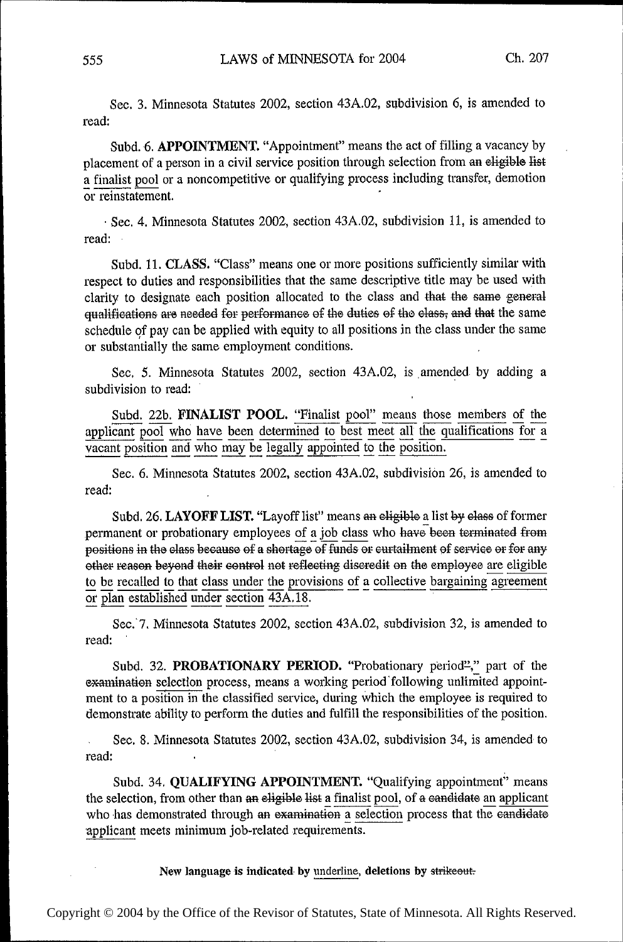Sec. 3. Minnesota Statutes 2002, section 43A.02, subdivision 6, is amended to read:

Subd. 6. APPOINTMENT. "Appointment" means the act of filling a vacancy by placement of a person in a civil service position through selection from an eligible list a finalist pool or a noncompetitive or qualifying process including transfer, demotion or reinstatement.

- Sec. 4. Minnesota Statutes 2002, section 43A.O2, subdivision 11, is amended to read:

Subd. I1. CLASS. "Class" means one or more positions sufficiently similar with respect to duties and responsibilities that the same descriptive title may be used with clarity to designate each position allocated to the class and that the same general qualifications are needed for performance of the duties of the class, and that the same schedule of pay can be applied with equity to all positions in the class under the same or substantially the same employment conditions.

Sec, 5. Minnesota Statutes 2002, section 43A.O2, is amended by adding a subdivision to read:

Subd. 22b. FINALIST POOL. "Finalist pool" means those members of the applicant pool who have been determined to best meet all the qualifications for a vacant position and who may be legally appointed to the position.

Sec. 6. Minnesota Statutes 2002, section 43A.02, subdivision 26, is amended to read:

Subd. 26. LAYOFF LIST. "Layoff list" means an eligible a list by class of former permanent or probationary employees of a job class who have been terminated from positions in the class because of a shortage of funds or curtailment of service or for any other reason beyond their control not reflecting discredit on the employee are eligible to be recalled to that class under the provisions of a collective bargaining agreement or plan established under section  $\overline{43A.18}$ .

Sec.'7. Minnesota Statutes 2002, section 43A.02, subdivision 32, is amended to read:

Subd. 32. PROBATIONARY PERIOD. "Probationary period"," part of the examination selection process, means a working period following unlimited appointment to a position in the classified sewice, during which the employee is required to demonstrate ability to perform the duties and fulfill the responsibilities of the position.

Sec. 8. Minnesota Statutes 2002, section 43A.02, subdivision 34, is amended to read:

Subd. 34. QUALIFYING APPOINTMENT. "Qualifying appointment" means the selection, from other than an eligible list a finalist pool, of a candidate an applicant who has demonstrated through an examination a selection process that the eandidate applicant meets minimum job-related requirements.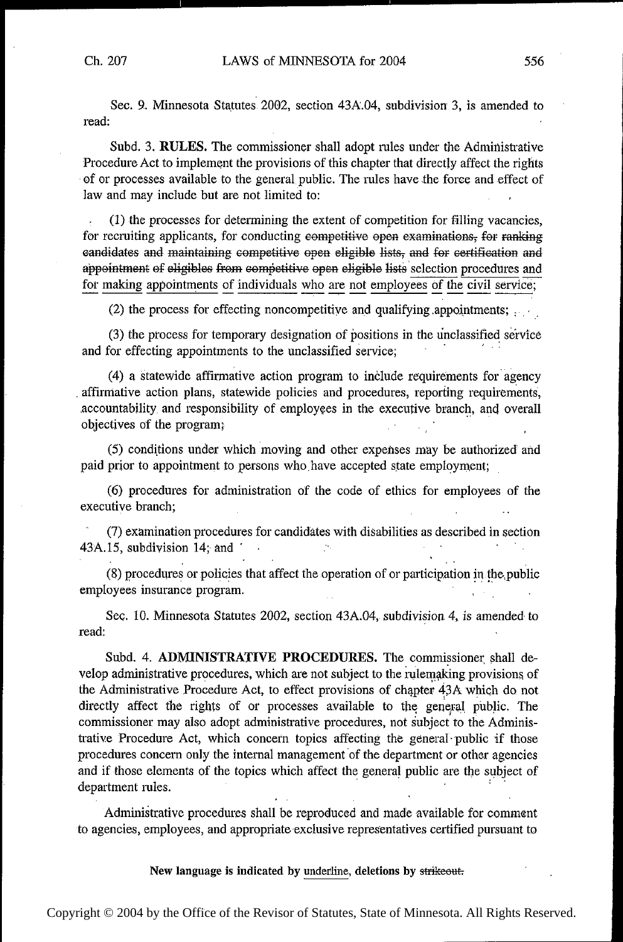Sec. 9. Minnesota Statutes 2002, section 43A.04, subdivision 3, is amended to read:  $r_{\rm c}$  read:  $1$   $\sim$  100  $\sim$  100  $\sim$  100  $\sim$  100  $\sim$  100  $\sim$  100  $\sim$  100  $\sim$  100  $\sim$  100  $\sim$  100  $\sim$  100  $\sim$  100  $\sim$  100  $\sim$  100  $\sim$  100  $\sim$  100  $\sim$  100  $\sim$  100  $\sim$  100  $\sim$  100  $\sim$  100  $\sim$  100  $\sim$ 

Subd. 3. RULES. The commissioner shall adopt rules under the Administrative Procedure Act to implement the provisions of this chapter that directly affect the rights of or processes available to the general public. The rules have the force and effect of law and may include but are not limited to:

(1) the processes for determining the extent of competition for filling vacancies, for recruiting applicants, for conducting competitive open examinations, for ranking candidates and maintaining competitive open eligible lists, and for certification and appointment of eligibles from competitive open eligible lists selection procedures and for making appointments of individuals who are not employees of the civil service;

(2) the process for effecting noncompetitive and qualifying appointments;  $, \ldots$ 

(3) the process for temporary designation of positions in the unclassified service and for effecting appointments to the unclassified service; ' 4 ' '

(4) a statewide affirmative action program to include requirements foragency affirmative action plans, statewide policies and procedures, reporting requirements, accountability and responsibility of employees in the executive branch, and overall objectives of the program;

(5) conditions under which 'moving and other expenses may be authorized' and paid prior to appointment to persons who have accepted state employment;

(6) procedures for administration of the code of ethics for employees of the executive branch;

(7) examination procedures for candidates with disabilities as described in section  $43A.15$ , subdivision 14; and V ' ' '

(8) procedures or policies that affect the operation of or participation in the,public employees insurance program. '

Sec. 10. Minnesota Statutes 2002, section 43A.04, subdivision 4, is amended to read: read: where  $\sim$  (1) and (1) and (1) and (1) and (1) and (1) and (1) and (1) and (1) and (1) and (1) and (1) and (1) and (1) and (1) and (1) and (1) and (1) and (1) and (1) and (1) and (1) and (1) and (1) and (1) and (1) a

Subd. 4. ADMINISTRATIVE PROCEDURES. The commissioner shall develop administrative procedures, which are not subject to the rulemaking provisions of the Administrative Procedure Act, to effect provisions of chapter 43A which do not directly affect the rights of or processes available to the general public. The commissioner may also adopt administrative procedures, not subject to the Administrative Procedure Act, which concern topics affecting the general-public if those procedures concern only the internal management of the department or other agencies and if those elements of the topics which affect the general public are the subject of department rules. '

Administrative procedures shall be reproduced and made available for comment to agencies, employees, and appropriate-exclusive representatives certified pursuant to

New language is indicated by underline, deletions by strikeout.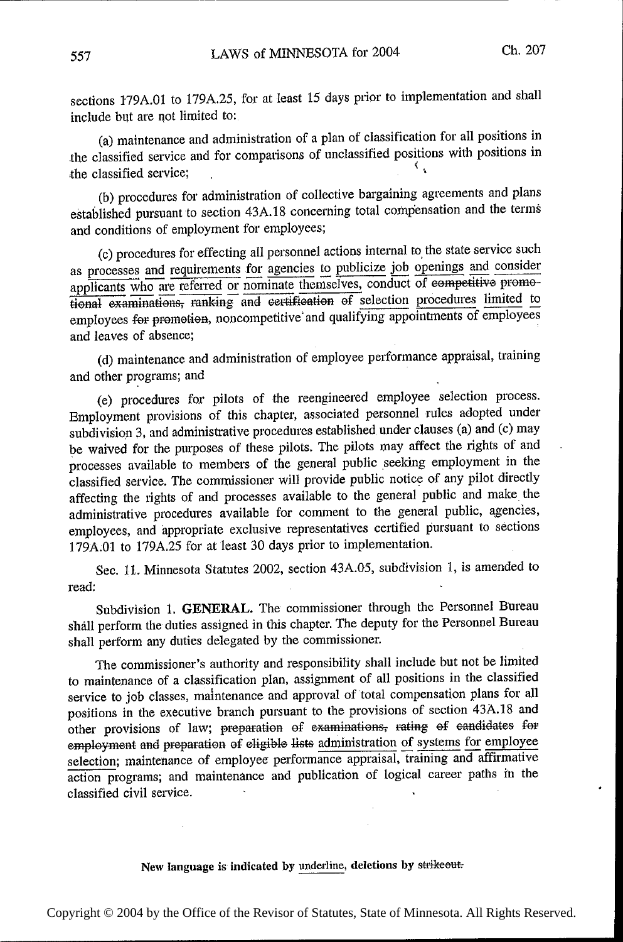sections l79A.O1 to l79A.Z5, for at least 15 days prior to implementation and shall include but are not limited to:

(a) maintenance and administration of a plan of classification for all positions in the classified service and for comparisons of unclassified positions with positions in , the classified service; s

(b) procedures for administration of collective bargaining agreements and plans established pursuant to section 43A.l8 concerning total compensation and the terms and conditions of employment for employees;

(c) procedures for effecting all personnel actions internal to' the state service such as processes and requirements for agencies to publicize job openings and consider applicants who are referred or nominate themselves, conduct of eompetitive promotional examinations, ranking and certification of selection procedures limited to employees for promotion, noncompetitive and qualifying appointments of employees and leaves of absence;

(d) maintenance and administration of employee performance appraisal, training and other programs; and

(e) procedures for pilots of the reengineered employee selection process. Employment provisions of this chapter, associated personnel rules adopted under subdivision 3, and administrative procedures established\_under clauses (a) and (c) may be waived for the purposes of these pilots. The pilots may affect the rights of and processes available to members of the general public seeking employment in the classified service. The commissioner will provide public notice of any pilot directly affecting the rights of and processes available to the general public and make the administrative procedures available for comment to the general public, agencies, employees, and appropriate exclusive representatives certified pursuant to sections 179A.Ol to l79A.25 for at 'least 30 days prior to implementation.

Sec. ll. Minnesota Statutes 2002, section 43A.O5, subdivision 1, is amended to read:  $\blacksquare$ .

Subdivision 1. GENERAL. The commissioner through the Personnel Bureau shall perform the duties assigned in this chapter. The deputy for the Personnel Bureau shall perform any duties delegated by the commissioner.

The commissioner's authority and responsibility shall include but not be limited to maintenance of a classification plan, assignment of all positions in the classified service to job classes, maintenance and approval of 'total compensation plans for all positions in the executive branch pursuant to the provisions of section 43A.l8 and other provisions of law; preparation of examinations; rating of candidates for employment and preparation of eligible lists administration of systems for employee selection; maintenance of employee performance appraisal, training and affirmative action programs; and maintenance and publication of logical career paths in the classified civil service.

## New language is indicated by underline, deletions by strikeout.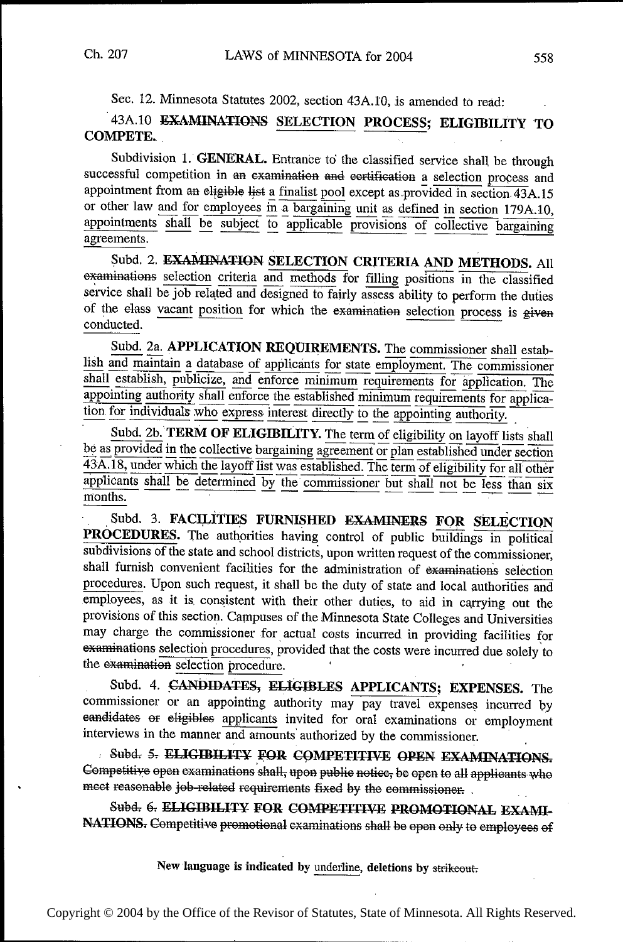Sec. 12. Minnesota Statutes 2002, section 43A.10, is amended to read:

# 43A.10 EXAMINATIONS SELECTION PROCESS; ELIGIBILITY TO **COMPETE.**

Subdivision 1. GENERAL. Entrance to the classified service shall be through successful competition in an examination and certification a selection process and appointment from an eligible list a finalist pool except as provided in section 43A.15 or other law and for employees in a bargaining unit as defined in section 179A.10, appointments shall be subject to applicable provisions of collective bargaining agreements.

Subd. 2. EXAMINATION SELECTION CRITERIA AND METHODS. All examinations selection criteria and methods for filling positions in the classified service shall be job related and designed to fairly assess ability to perform the duties of the elass vacant position for which the examination selection process is given conducted.

Subd. 2a. APPLICATION REQUIREMENTS. The commissioner shall establish and maintain a database of applicants for state employment. The commissioner shall establish, publicize, and enforce minimum requirements for application. The appointing authority shall enforce the established minimum requirements for application for individuals who express interest directly to the appointing authority.

Subd. 2b. TERM OF ELIGIBILITY. The term of eligibility on layoff lists shall be as provided in the collective bargaining agreement or plan established under section 43A.18, under which the layoff list was established. The term of eligibility for all other applicants shall be determined by the commissioner but shall not be less than six months.

Subd. 3. FACILITIES FURNISHED EXAMINERS FOR SELECTION PROCEDURES. The authorities having control of public buildings in political subdivisions of the state and school districts, upon written request of the commissioner, shall furnish convenient facilities for the administration of examinations selection procedures. Upon such request, it shall be the duty of state and local authorities and employees, as it is consistent with their other duties, to aid in carrying out the provisions of this section. Campuses of the Minnesota State Colleges and Universities may charge the commissioner for actual costs incurred in providing facilities for examinations selection procedures, provided that the costs were incurred due solely to the examination selection procedure.

Subd. 4. CANDIDATES, ELIGIBLES APPLICANTS; EXPENSES. The commissioner or an appointing authority may pay travel expenses incurred by eandidates or eligibles applicants invited for oral examinations or employment interviews in the manner and amounts authorized by the commissioner.

Subd. 5. ELIGIBILITY FOR COMPETITIVE OPEN EXAMINATIONS. Competitive open examinations shall, upon public notice, be open to all applicants who meet reasonable job-related requirements fixed by the commissioner.

Subd. 6. ELIGIBILITY FOR COMPETITIVE PROMOTIONAL EXAMI-NATIONS. Competitive promotional examinations shall be open only to employees of

New language is indicated by underline, deletions by strikeout.

558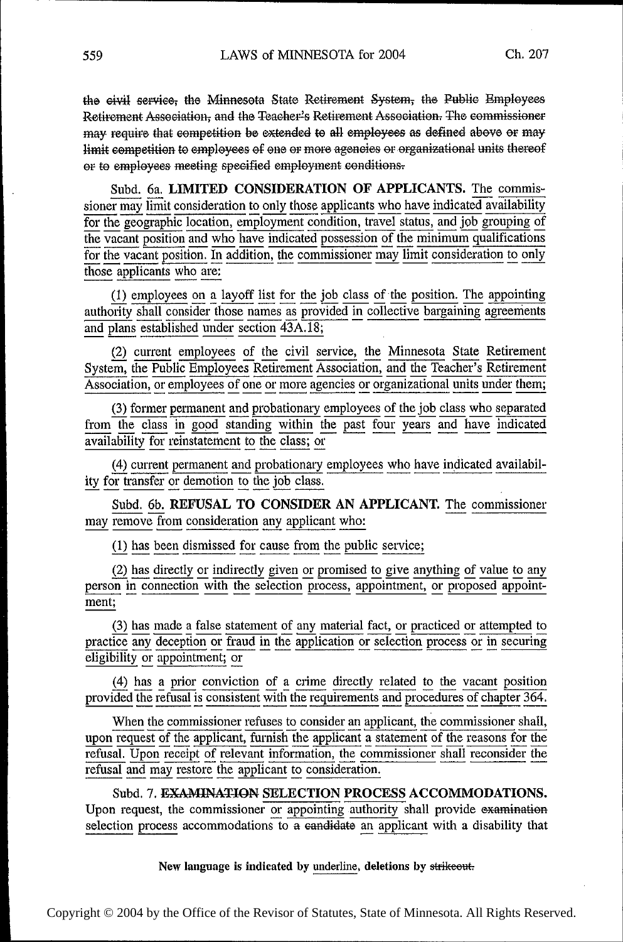the civil service, the Minnesota State Retirement System, the Public Employees Retirement Association, and the Teacher's Retirement Association. The commissioner may require that competition be extended to all employees as defined above or may limit competition to employees of one or more agencies or organizational units thereof or to employees meeting specified employment conditions.

Subd. 6a. LIMITED CONSIDERATION OF APPLICANTS. The commissioner may limit consideration to only those applicants who have indicated availability for the geographic location, employment condition, travel status, and job grouping of the vacant position and who have indicated possession of the minimum qualifications for the vacant position. In addition, the commissioner may limit consideration to only those applicants who are:

(1) employees on a layoff list for the job class of the position. The appointing authority shall consider those names as provided in collective bargaining agreements and plans established under section 43A.18;

(2) current employees of the civil service, the Minnesota State Retirement System, the Public Employees Retirement Association, and the Teacher's Retirement Association, or employees of one or more agencies or organizational units under them;

(3) former permanent and probationary employees of the job class who separated from the class in good standing within the past four years and have indicated availability for reinstatement to the class; or

(4) current permanent and probationary employees who have indicated availability for transfer or demotion to the job class.

Subd. 6b. REFUSAL TO CONSIDER AN APPLICANT. The commissioner may remove from consideration any applicant who:

(1) has been dismissed for cause from the public service;

(2) has directly or indirectly given or promised to give anything of value to any person in connection with the selection process, appointment, or proposed appointment;

(3) has made a false statement of any material fact, or practiced or attempted to practice any deception or fraud in the application or selection process or in securing eligibility or appointment; or

(4) has a prior conviction of a crime directly related to the vacant position provided the refusal is consistent with the requirements and procedures of chapter 364.

When the commissioner refuses to consider an applicant, the commissioner shall, upon request of the applicant, furnish the applicant a statement of the reasons for the refusal. Upon receipt of relevant information, the commissioner shall reconsider the refusal and may restore the applicant to consideration.

Subd. 7. EXAMINATION SELECTION PROCESS ACCOMMODATIONS. Upon request, the commissioner or appointing authority shall provide examination selection process accommodations to a candidate an applicant with a disability that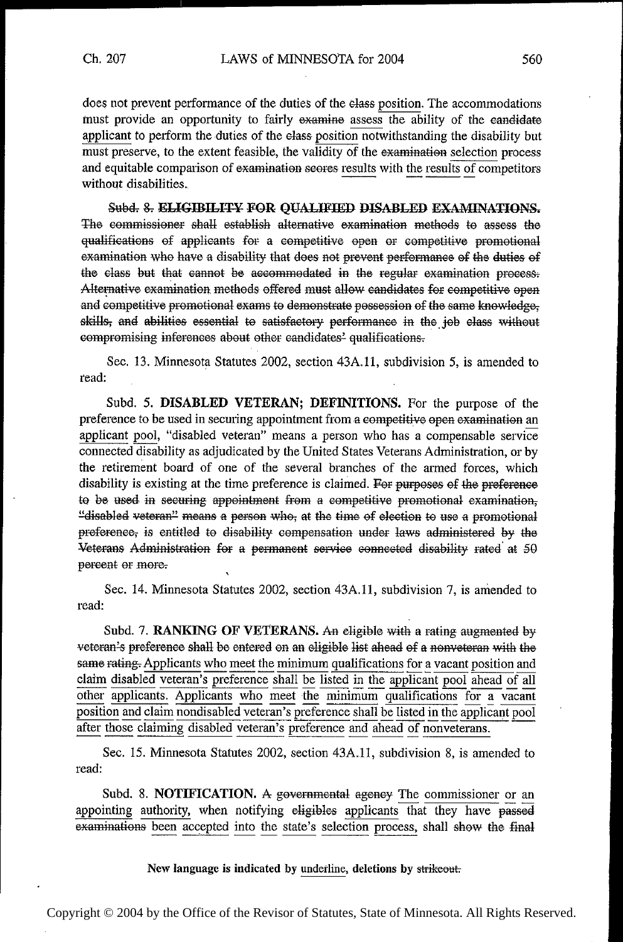does not prevent performance of the duties of the elass position. The accommodations must provide an opportunity to fairly examine assess the ability of the candidate applicant to perform the duties of the elass position notwithstanding the disability but must preserve, to the extent feasible, the validity of the examination selection process and equitable comparison of examination seores results with the results of competitors without disabilities.

Subd. 8. ELIGIBILITY FOR QUALIFIED DISABLED EXAMINATIONS. The commissioner shall establish alternative examination methods to assess the qualifications of applicants for a competitive open or competitive promotional examination who have a disability that does not prevent performance of the duties of the class but that cannot be accommodated in the regular examination process. Alternative examination methods offered must allow candidates for competitive open and competitive promotional exams to demonstrate possession of the same knowledge, skills, and abilities essential to satisfactory performance in the job class without compromising inferences about other candidates' qualifications.

Sec. 13. Minnesota Statutes 2002, section 43A.11, subdivision 5, is amended to read:

Subd. 5. DISABLED VETERAN; DEFINITIONS. For the purpose of the preference to be used in securing appointment from a competitive open examination an applicant pool, "disabled veteran" means a person who has a compensable service connected disability as adjudicated by the United States Veterans Administration, or by the retirement board of one of the several branches of the armed forces, which disability is existing at the time preference is claimed. For purposes of the preference to be used in securing appointment from a competitive promotional examination, "disabled veteran" means a person who, at the time of election to use a promotional preference, is entitled to disability compensation under laws administered by the Veterans Administration for a permanent service connected disability rated at 50 percent or more.

Sec. 14. Minnesota Statutes 2002, section 43A.11, subdivision 7, is amended to read:

Subd. 7. RANKING OF VETERANS. An eligible with a rating augmented by veteran's preference shall be entered on an eligible list ahead of a nonveteran with the same rating. Applicants who meet the minimum qualifications for a vacant position and claim disabled veteran's preference shall be listed in the applicant pool ahead of all other applicants. Applicants who meet the minimum qualifications for a vacant position and claim nondisabled veteran's preference shall be listed in the applicant pool after those claiming disabled veteran's preference and ahead of nonveterans.

Sec. 15. Minnesota Statutes 2002, section 43A.11, subdivision 8, is amended to read:

Subd. 8. NOTIFICATION. A governmental agency The commissioner or an appointing authority, when notifying eligibles applicants that they have passed examinations been accepted into the state's selection process, shall show the final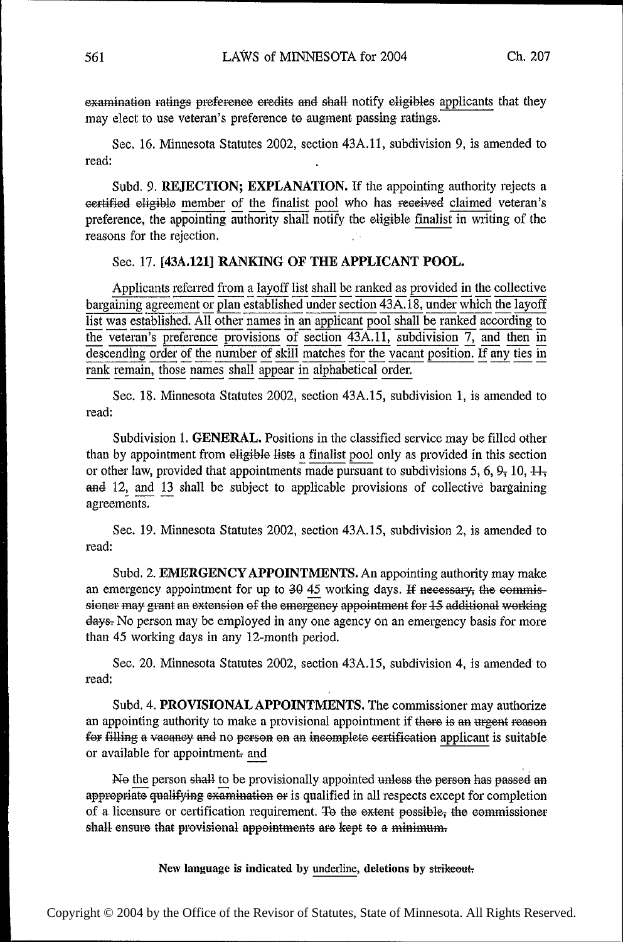examination ratings preference credits and shall notify eligibles applicants that they may elect to use veteran's preference to augment passing ratings.

Sec. 16. Minnesota Statutes 2002, section 43A.l1, subdivision 9, is amended to read:

Subd. 9. REJECTION; EXPLANATION. If the appointing authority rejects <sup>a</sup> eertified eligible member of the finalist pool who has received claimed veteran's preference, the appointing authority shall notify the eligible finalist in writing of the reasons for the rejection.

## Sec. 17. [43A.121] RANKING OF THE APPLICANT POOL.

Applicants referred from a layoff list shall be ranked as provided in the collective bargaining agreement or plan established under section  $43A.18$ , under which the layoff bargaining agreement or plan established under section 43A.18, under which the layoff list was established. All other names in an applicant pool shall be ranked according to the veteran's preference provisions of section  $43A.11$ , subdivision 7, and then in descending order of the number of skill matches for the vacant position. If any ties in rank remain, those names shall appear in alphabetical order.

Sec. 18. Minnesota Statutes 2002, section 43A.l5, subdivision 1, is amended to read:

Subdivision 1. GENERAL. Positions in the classified service may be filled other than by appointment from eligible lists a finalist pool only as provided in this section than by appointment from eligible lists a finalist pool only as provided in this section or other law, provided that appointments made pursuant to subdivisions 5, 6, 9, 10,  $\frac{11}{11}$ and  $12$ , and  $13$  shall be subject to applicable provisions of collective bargaining agreements.

Sec. 19. Minnesota Statutes 2002, section 43A.15, subdivision 2, is amended to read:

Subd. 2. EMERGENCY APPOINTMENTS. An appointing authority may make an emergency appointment for up to  $3045$  working days. If necessary, the commissioner may grant an extension of the emergency appointment for 15 additional working days: No person may be employed in any one agency on an emergency basis for more than 45 working days in any 12-month period.

Sec. 20. Minnesota Statutes 2002, section 43A.15, subdivision 4, is amended to read:

Subd. 4. PROVISIONAL APPOINTMENTS. The commissioner may authorize an appointing authority to make a provisional appointment if there is an urgent reasen for filling a vaeancy and no person on an incomplete certification applicant is suitable or available for appointment- and

N9 the person shall to be provisionally appointed unless the person has passed an appropriate qualifying examination or is qualified in all respects except for completion of a licensure or certification requirement. To the extent possible, the commissioner shall ensure that provisional appointments are kept to a minimum-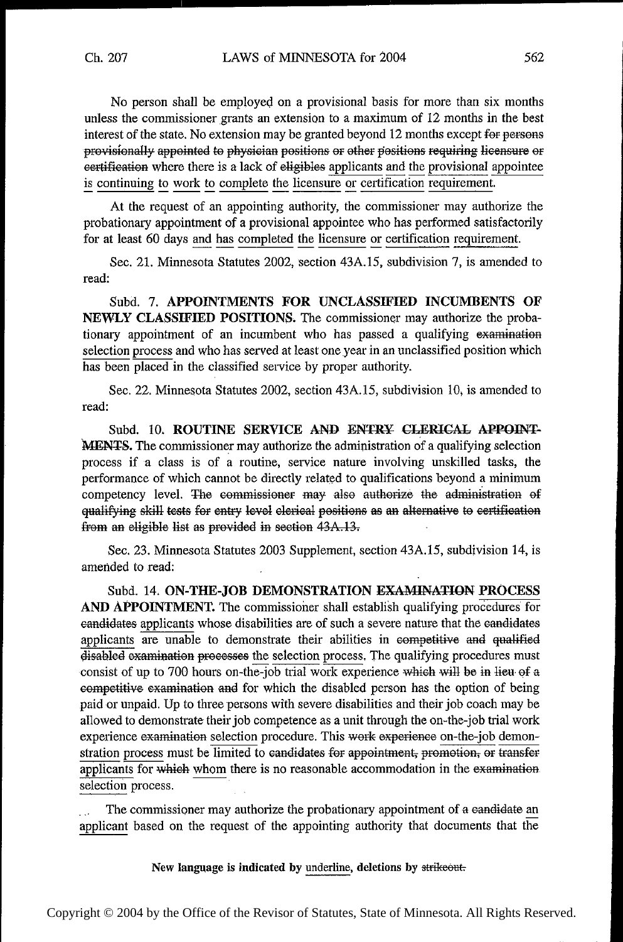No person shall be employed on a provisional basis for more than six months unless the commissioner grants an extension to <sup>a</sup>maximum of 12 months in the best interest of the state. No extension may be granted beyond 12 months except for persons provisionally appointed to physician positions or other requiring lieensure or eertification where there is a lack of eligibles applicants and the provisional appointee is continuing to work to complete the licensure or certification requirement.

At the request of an appointing authority, the commissioner may authorize the probationary appointment of a provisional appointee who has performed satisfactorily for at least 60 days and has completed the licensure or certification requirement.

Sec. 21. Minnesota Statutes 2002, section 43A.15, subdivision 7, is amended to read:

Subd. 7. APPOINTMENTS FOR UNCLASSIFIED INCUMBENTS OF NEWLY CLASSIFIED POSITIONS. The commissioner may authorize the probationary appointment of an incumbent who has passed a qualifying examination selection process and who has served at least one year in an unclassified position which has been placed in the classified service by proper authority.

Sec. 22. Minnesota Statutes 2002, section 43A.l5, subdivision 10, is amended to read:

Subd. 10. ROUTINE SERVICE AND ENTRY CLERICAL APPOINT-MENTS. The commissioner may authorize the administration of a qualifying selection process if a class is of a routine, service nature involving unskilled tasks, the performance of which cannot be directly related to qualifications beyond a minimum competency level. The eommissioner may also authorize the administration of ing skill tests for entry level elerical positions as an alternative to certificati from an eligible list as provided in section 43A.13.

Sec. 23. Minnesota Statutes 2003 Supplement, section 43A.l5, subdivision 14, is amended to read:

Subd. 14. ON-THE-JOB DEMONSTRATION EXAMINATION PROCESS AND APPOINTMENT. The commissioner shall establish qualifying procedures' for eandidates applicants whose disabilities are of such a severe nature that the eandidates applicants are unable to demonstrate their abilities in competitive and qualified disabled examination processes the selection process. The qualifying procedures must consist of up to 700 hours on-the-job trial work experience which will be in lieu of a eornpetitive exarninatioh and for which the disabled person has the option of being paid or unpaid. Up to three persons with severe disabilities and their job coach may be allowed to demonstrate their job competence as a unit through the on~the-job trial work experience examination selection procedure. This work experience on-the-job demonstration process must be limited to eandidates for appointment; promotion; or transfer applicants for which whom there is no reasonable accommodation in the examination selection process.

The commissioner may authorize the probationary appointment of a eandidate an applicant based on the request of the appointing authority that documents that the

New language is indicated by underline, deletions by strikeout.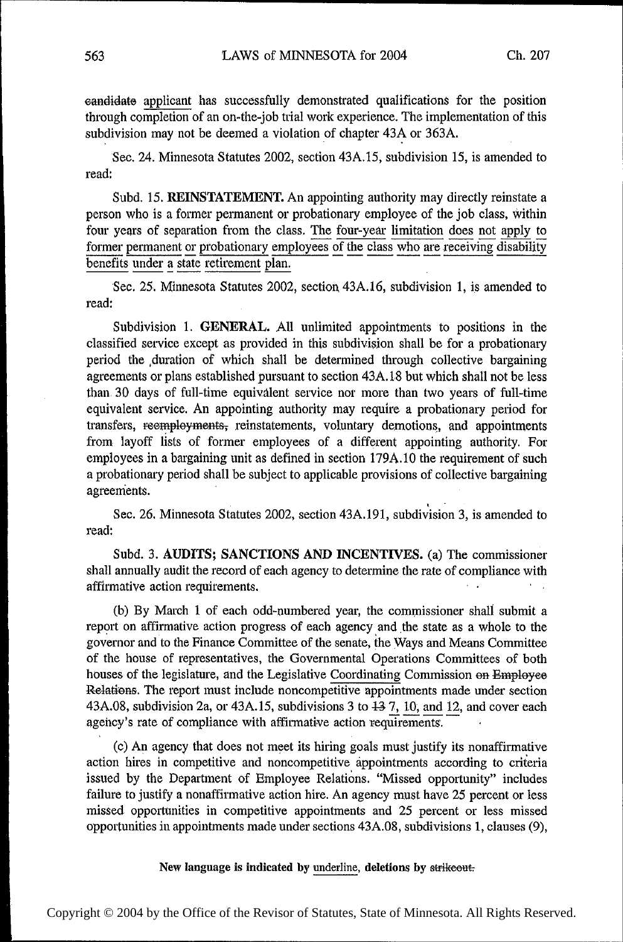eandidate applicant has successfully demonstrated qualifications for the position through completion of an on-the—job trial work experience. The implementation of this subdivision may not be deemed a violation of chapter 43A or 363A.

Sec. 24. Minnesota Statutes 2002, section 43A.l5, subdivision 15, is amended to read:

Subd. 15. REINSTATEMENT. An appointing authority may directly reinstate <sup>a</sup> person who is a former permanent or probationary employee of the job class, within four years of separation from the class. The four-year limitation does not apply to former permanent or probationary employees of the class who are receiving disability benefits under a state retirement plan.

Sec. 25. Minnesota Statutes 2002, section 43A.16, subdivision 1, is amended to read:

Subdivision 1. GENERAL. All unlimited appointments to positions in the classified service except as provided in this subdivision shall be for a probationary period the ,duration of which shall be determined through collective bargaining agreements or plans established pursuant to section 43A.l8 but which shall not be less than 30 days of full-time equivalent service nor more than two years of ful1—time equivalent service. An appointing authority may require a probationary period for transfers, reempleyments; reinstatements, voluntary demotions, and appointments from layoff lists of former employees of a different appointing authority. For employees in a bargaining unit as defined in section 179A.1O the requirement of such a probationary period shall be subject to applicable provisions of collective bargaining agreements.

Sec. 26. Minnesota Statutes 2002, section 43A.191, subdivision 3, is amended to read:

Subd. 3. AUDITS; SANCTIONS AND INCENTIVES. (a) The commissioner shall annually audit the record of each agency to determine the rate of compliance with affirmative action requirements.

(b) By March 1 of each odd-numbered year, the commissioner shall submit <sup>a</sup> report on affirmative action progress of each agency and the state as a whole to the governor and to the Finance Committee of the senate, the Ways and Means Committee of the house of representatives, the Governmental Operations Committees of both houses of the legislature, and the Legislative Coordinating Commission on Employee Relations. The report must include noncompetitive appointments made under section 43A.08, subdivision 2a, or 43A.15, subdivisions 3 to  $437$ , 10, and 12, and cover each agency's rate of compliance with affirmative action requirements.

(0) An agency that does not meet its hiring goals must justify its nonaffirmative action hires in competitive and noncompetitive appointments according to criteria issued by the Department of Employee Relations. "Missed opportunity" includes failure to justify a nonaffirmative action hire. An agency must have 25 percent or less missed opportunities in competitive appointments and 25 percent or less missed opportunities in appointments made under sections 43A.08, subdivisions 1, clauses (9),

New language is indicated by underline, deletions by strikeout.

~~

~~~~

~~~

~ ~ ~ ~ ~

~~~

~~~

~~~

~~~

 $\mathbf{\cdot}$ 

~~

~ ~ ~ ~

~ ~ ~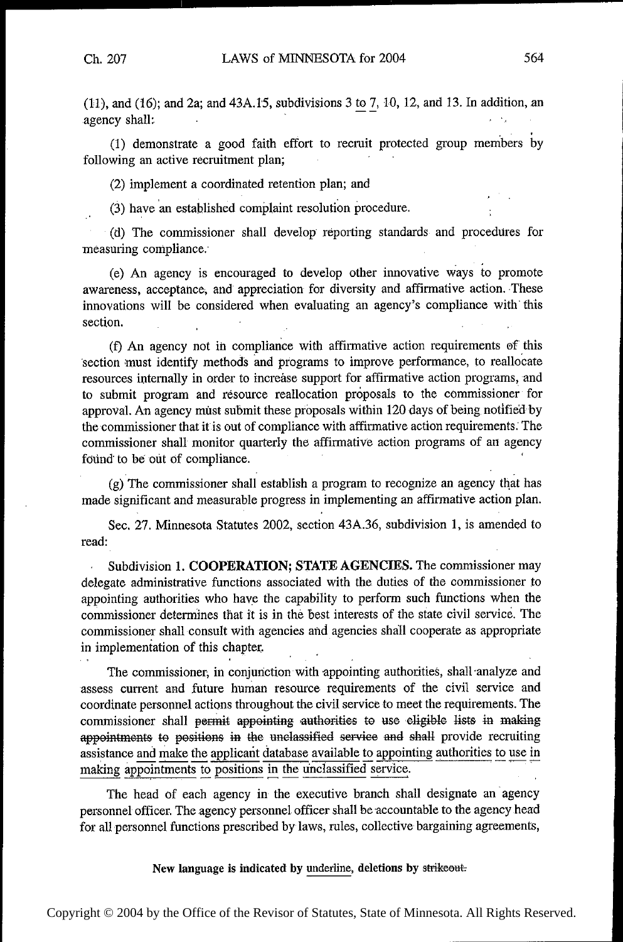J.

 $(11)$ , and  $(16)$ ; and  $2a$ ; and  $43A.15$ , subdivisions 3 to 7, 10, 12, and 13. In addition, an agency shall:  $\mathcal{C}=\mathcal{C}(\mathcal{S})$ 

(1) demonstrate a good faith effort to recruit protected group members by following an active recruitment plan;

(2) implement a coordinated retention plan; and

(3) have an established complaint resolution procedure.

(d) The commissioner shall develop' reporting standards and procedures for measuring compliance.'

(e) An agency is encouraged to develop other innovative ways to promote awareness, acceptance, and appreciation for diversity and affirmative action. These innovations will be considered when evaluating an agency's compliance with this section.

(f) An agency not in compliance with affirmative action requirements of this 'section must identify methods and programs to improve performance, to reallocate resources internally in order to increase support for affirmative action programs, and to submit program and resource reallocation proposals to the commissioner for approval. An agency must submit these proposals within 120 days of being. notified by the commissioner that it is out of compliance with affirmative action requirements. The commissioner shall' monitor quarterly the affirmative action programs of an agency found to be out of compliance.

(g)'The commissioner shall' establish a program to recognize an agency that has made significant and measurable progress in implementing an affirmative action plan.

Sec. 27. Minnesota Statutes 2002, section 43A.36, subdivision 1, is amended to read:

Subdivision 1. COOPERATION; STATE AGENCIES. The commissioner may  $\mathcal{L}^{\pm}$ delegate administrative functions associated with the duties of the commissioner to appointing authorities who have the capability to perform such functions when the commissioner determines that it is in the best interests of the state civil service. The commissioner shall consult with agencies and agencies shall cooperate as appropriate in implementation of this chapter,

The commissioner, in conjunction with appointing authorities, shall analyze and 'assess current and future human resource requirements of the civil service and coordinate personnel actions throughout the civil service to meet the requirements. The commissioner shall permit appointing authorities to use eligible lists in making appointments to positions in the unclassified service and shall provide recruiting assistance and make the applicant database available to appointing authorities to use in<br>making appointments to positions in the unclossified service making appointments to positions in the unclassified service.

The head of each agency in the executive branch shall designate an agency personnel officer. The agency personnel officer shall be accountable to the agency head for all personnel functions prescribed by laws, rules, collective bargaining agreements,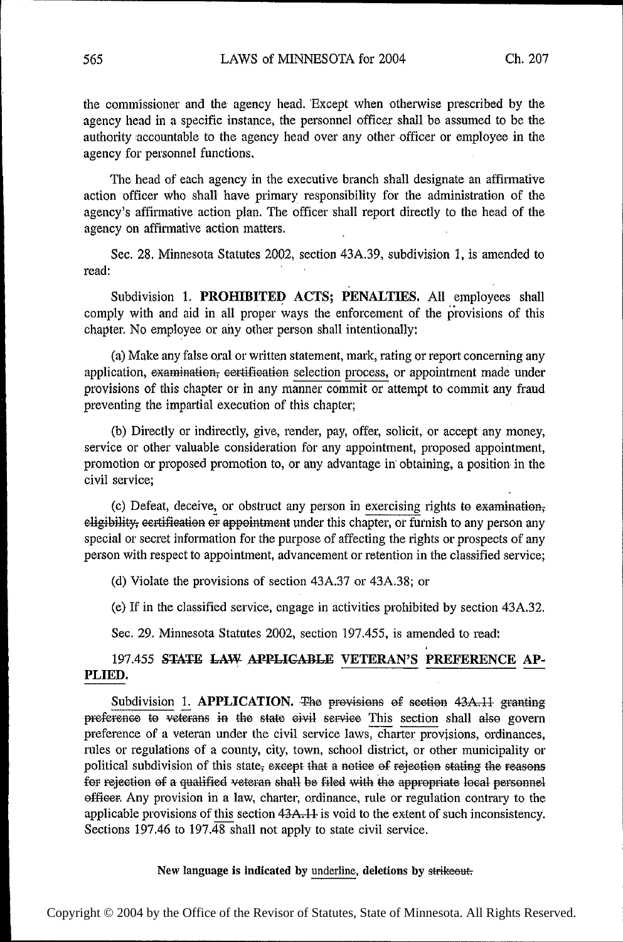the commissioner and the agency head. 'Except when otherwise prescribed by the agency head in a specific instance, the personnel officer shall be assumed to be the authority accountable to the agency head over any other officer or employee in the agency for personnel functions.

The head of each agency in the executive branch shall designate an affirmative action officer who shall' have primary responsibility for the administration of the agency's affirmative action plan. The officer shall report directly to the head of the agency on affirmative action matters.

Sec. 28. Minnesota Statutes 2002, section 43A.39, subdivision 1, is amended to read:  $\blacksquare$ 

Subdivision 1. PROHIBITED ACTS; PENALTIES. All employees shall comply with and aid in all proper ways the enforcement of the provisions of this chapter. No employee or any other person shall intentionally:

(a) Make any false oral or written statement, mark, rating or report concerning any application, examination; certification selection process, or appointment made under provisions of this chapter or in any manner commit or attempt to commit any fraud preventing the impartial execution of this chapter;

(b) Directly or indirectly, give, render, pay, offer, solicit, or accept any money, service or other valuable consideration for any appointment, proposed appointment, promotion or proposed promotion to, or any advantage in obtaining, a position in the civil service;

(c) Defeat, deceive, or obstruct any person in exercising rights to examination; eligibility, eertification or appointment under this chapter, or furnish to any person any special or secret information for the purpose of affecting the rights or prospects of any person with respect to appointment, advancement or retention in the classified service;

(d) Violate the provisions of section 43A.37 or 43A.38; or

(e) If in the classified service, engage in activities prohibited by section 43A.32.

Sec. 29. Minnesota Statutes 2002, section 197.455, is amended to read:

# 197.455 STATE LAW APPLICABLE VETERAN'S PREFERENCE AP-PLIED.

Subdivision 1. APPLICATION. The provisions of section 43A.11 granting preference to veterans in the state civil service This section shall also govern preference of a veteran under the civil service laws, charter provisions, ordinances, rules or regulations of a county, city, town, school district, or other municipality or political subdivision of this state, except that a notice of rejection stating the reasons for rejection of a qualified veteran shall be filed with the appropriate local personnel officer. Any provision in a law, charter, ordinance, rule or regulation contrary to the applicable provisions of this section 43A.11 is void to the extent of such inconsistency. Sections 197.46 to 197.48 shall not apply to state civil service.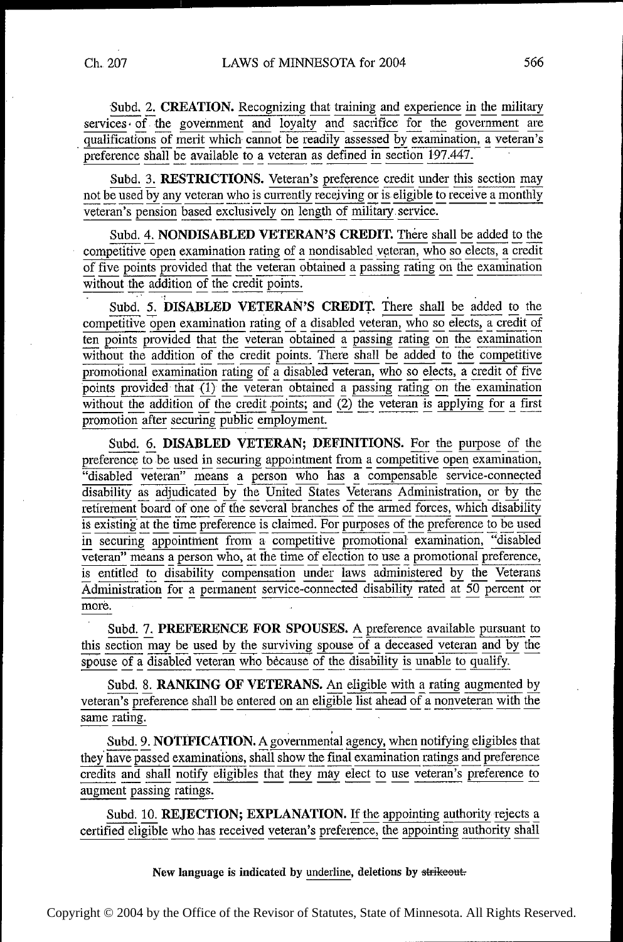Subd. 2. CREATION. Recognizing that training and experience in the military services of the government and loyalty and sacrifice for the government are qualifications of merit which cannot be readily assessed by examination, a veteran's<br>preference shall be available to a veteran as defined in section 197.447.

Subd. 3. RESTRICTIONS. Veteran's preference credit under this section may not be used by any veteran who is currently receiving or is eligible to receive a monthly veteran's pension based exclusively on length of military service.

Subd. 4. NONDISABLED VETERAN'S CREDIT. There shall be added to the competitive open examination rating of a nondisabled veteran, who so elects, a credit of five points provided that the veteran obtained a passing rating on the examination without the addition of the credit points.

Subd. 5. DISABLED VETERAN'S CREDIT. There shall be added to the competitive open examination rating of a disabled veteran, who so elects, a credit of<br>ten points provided that the veteran obtained a passing rating on the examination<br>without the addition of the credit points. There shall promotional examination rating of a disabled veteran, who so elects, a credit of five<br>points provided that  $(1)$  the veteran obtained a passing rating on the examination<br>without the addition of the credit points; and  $(2)$ promotion after securing public employment.

Subd. 6. DISABLED VETERAN; DEFINITIONS. For the purpose of the preference to be used in securing appointment from a competitive open examination,<br>
"disabled veteran" means a person who has a compensable service-connected<br>
disability as adjudicated by the United States Veterans Adminis retirement board of one of the several branches of the armed forces, which disability is existing at the time preference is claimed. For purposes of the preference to be used in securing appointment from a competitive promotional examination, "disabled veteran" means a person who, at the time of election to use a promotional preference, is entitled to disability compensation under laws administered by the Veterans Administration for a permanent service-connected disability rated at 50 percent or more.

Subd. 7. PREFERENCE FOR SPOUSES. A preference available pursuant to this section may be used by the surviving spouse of a deceased veteran and by the spouse of a disabled veteran who because of the disability is unable to qualify.

Subd. 8. RANKING OF VETERANS. An eligible with a rating augmented by veteran's preference shall be entered on an eligible list ahead of a nonveteran with the same rating.

Subd. 9. NOTIFICATION. A governmental agency, when notifying eligibles that they have passed examinations, shall show the final examination ratings and preference credits and shall notify eligibles that they may elect to use veteran's preference to augment passing ratings.

Subd. 10. REJECTION; EXPLANATION. If the appointing authority rejects a certified eligible who has received veteran's preference, the appointing authority shall

New language is indicated by underline, deletions by strikeout.